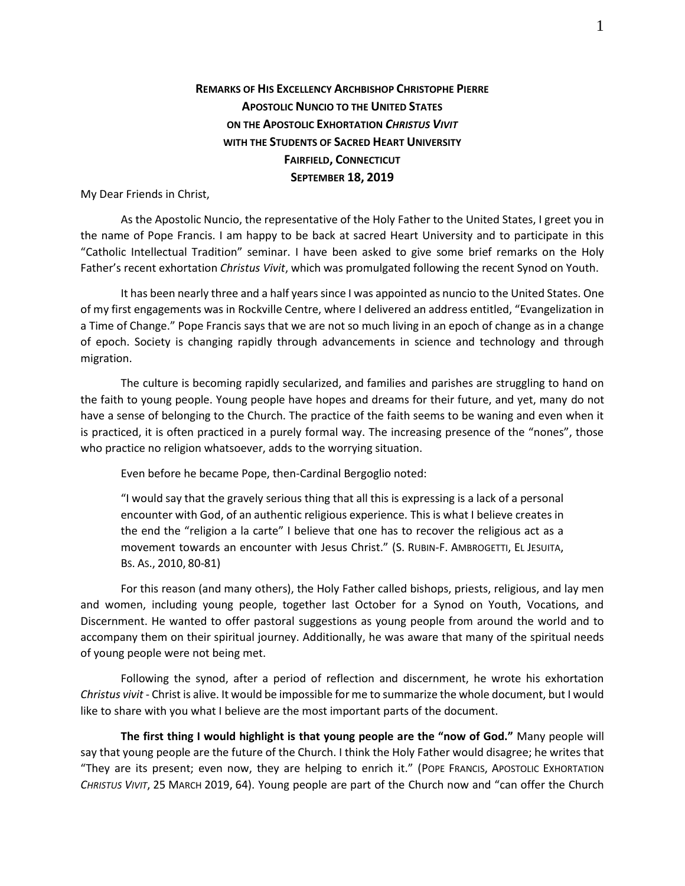## **REMARKS OF HIS EXCELLENCY ARCHBISHOP CHRISTOPHE PIERRE APOSTOLIC NUNCIO TO THE UNITED STATES ON THE APOSTOLIC EXHORTATION** *CHRISTUS VIVIT* **WITH THE STUDENTS OF SACRED HEART UNIVERSITY FAIRFIELD, CONNECTICUT SEPTEMBER 18, 2019**

My Dear Friends in Christ,

As the Apostolic Nuncio, the representative of the Holy Father to the United States, I greet you in the name of Pope Francis. I am happy to be back at sacred Heart University and to participate in this "Catholic Intellectual Tradition" seminar. I have been asked to give some brief remarks on the Holy Father's recent exhortation *Christus Vivit*, which was promulgated following the recent Synod on Youth.

It has been nearly three and a half years since I was appointed as nuncio to the United States. One of my first engagements was in Rockville Centre, where I delivered an address entitled, "Evangelization in a Time of Change." Pope Francis says that we are not so much living in an epoch of change as in a change of epoch. Society is changing rapidly through advancements in science and technology and through migration.

The culture is becoming rapidly secularized, and families and parishes are struggling to hand on the faith to young people. Young people have hopes and dreams for their future, and yet, many do not have a sense of belonging to the Church. The practice of the faith seems to be waning and even when it is practiced, it is often practiced in a purely formal way. The increasing presence of the "nones", those who practice no religion whatsoever, adds to the worrying situation.

Even before he became Pope, then-Cardinal Bergoglio noted:

"I would say that the gravely serious thing that all this is expressing is a lack of a personal encounter with God, of an authentic religious experience. This is what I believe creates in the end the "religion a la carte" I believe that one has to recover the religious act as a movement towards an encounter with Jesus Christ." (S. RUBIN-F. AMBROGETTI, EL JESUITA, BS. AS., 2010, 80-81)

For this reason (and many others), the Holy Father called bishops, priests, religious, and lay men and women, including young people, together last October for a Synod on Youth, Vocations, and Discernment. He wanted to offer pastoral suggestions as young people from around the world and to accompany them on their spiritual journey. Additionally, he was aware that many of the spiritual needs of young people were not being met.

Following the synod, after a period of reflection and discernment, he wrote his exhortation *Christus vivit* - Christ is alive. It would be impossible for me to summarize the whole document, but I would like to share with you what I believe are the most important parts of the document.

**The first thing I would highlight is that young people are the "now of God."** Many people will say that young people are the future of the Church. I think the Holy Father would disagree; he writes that "They are its present; even now, they are helping to enrich it." (POPE FRANCIS, APOSTOLIC EXHORTATION *CHRISTUS VIVIT*, 25 MARCH 2019, 64). Young people are part of the Church now and "can offer the Church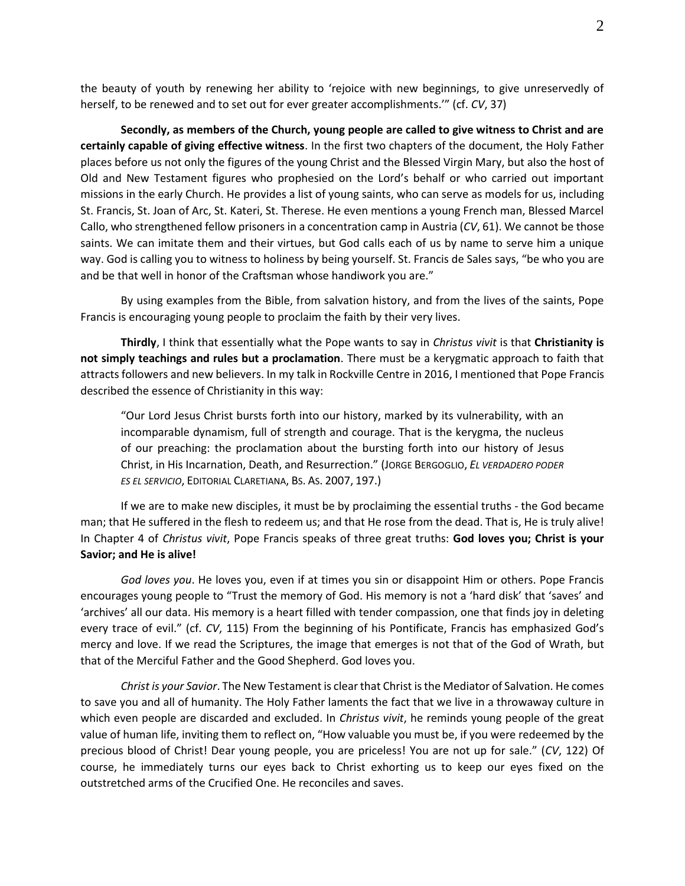the beauty of youth by renewing her ability to 'rejoice with new beginnings, to give unreservedly of herself, to be renewed and to set out for ever greater accomplishments.'" (cf. *CV*, 37)

**Secondly, as members of the Church, young people are called to give witness to Christ and are certainly capable of giving effective witness**. In the first two chapters of the document, the Holy Father places before us not only the figures of the young Christ and the Blessed Virgin Mary, but also the host of Old and New Testament figures who prophesied on the Lord's behalf or who carried out important missions in the early Church. He provides a list of young saints, who can serve as models for us, including St. Francis, St. Joan of Arc, St. Kateri, St. Therese. He even mentions a young French man, Blessed Marcel Callo, who strengthened fellow prisoners in a concentration camp in Austria (*CV*, 61). We cannot be those saints. We can imitate them and their virtues, but God calls each of us by name to serve him a unique way. God is calling you to witness to holiness by being yourself. St. Francis de Sales says, "be who you are and be that well in honor of the Craftsman whose handiwork you are."

By using examples from the Bible, from salvation history, and from the lives of the saints, Pope Francis is encouraging young people to proclaim the faith by their very lives.

**Thirdly**, I think that essentially what the Pope wants to say in *Christus vivit* is that **Christianity is not simply teachings and rules but a proclamation**. There must be a kerygmatic approach to faith that attracts followers and new believers. In my talk in Rockville Centre in 2016, I mentioned that Pope Francis described the essence of Christianity in this way:

"Our Lord Jesus Christ bursts forth into our history, marked by its vulnerability, with an incomparable dynamism, full of strength and courage. That is the kerygma, the nucleus of our preaching: the proclamation about the bursting forth into our history of Jesus Christ, in His Incarnation, Death, and Resurrection." (JORGE BERGOGLIO, *EL VERDADERO PODER ES EL SERVICIO*, EDITORIAL CLARETIANA, BS. AS. 2007, 197.)

If we are to make new disciples, it must be by proclaiming the essential truths - the God became man; that He suffered in the flesh to redeem us; and that He rose from the dead. That is, He is truly alive! In Chapter 4 of *Christus vivit*, Pope Francis speaks of three great truths: **God loves you; Christ is your Savior; and He is alive!**

*God loves you*. He loves you, even if at times you sin or disappoint Him or others. Pope Francis encourages young people to "Trust the memory of God. His memory is not a 'hard disk' that 'saves' and 'archives' all our data. His memory is a heart filled with tender compassion, one that finds joy in deleting every trace of evil." (cf. *CV*, 115) From the beginning of his Pontificate, Francis has emphasized God's mercy and love. If we read the Scriptures, the image that emerges is not that of the God of Wrath, but that of the Merciful Father and the Good Shepherd. God loves you.

*Christ is your Savior*. The New Testament is clear that Christ is the Mediator of Salvation. He comes to save you and all of humanity. The Holy Father laments the fact that we live in a throwaway culture in which even people are discarded and excluded. In *Christus vivit*, he reminds young people of the great value of human life, inviting them to reflect on, "How valuable you must be, if you were redeemed by the precious blood of Christ! Dear young people, you are priceless! You are not up for sale." (*CV*, 122) Of course, he immediately turns our eyes back to Christ exhorting us to keep our eyes fixed on the outstretched arms of the Crucified One. He reconciles and saves.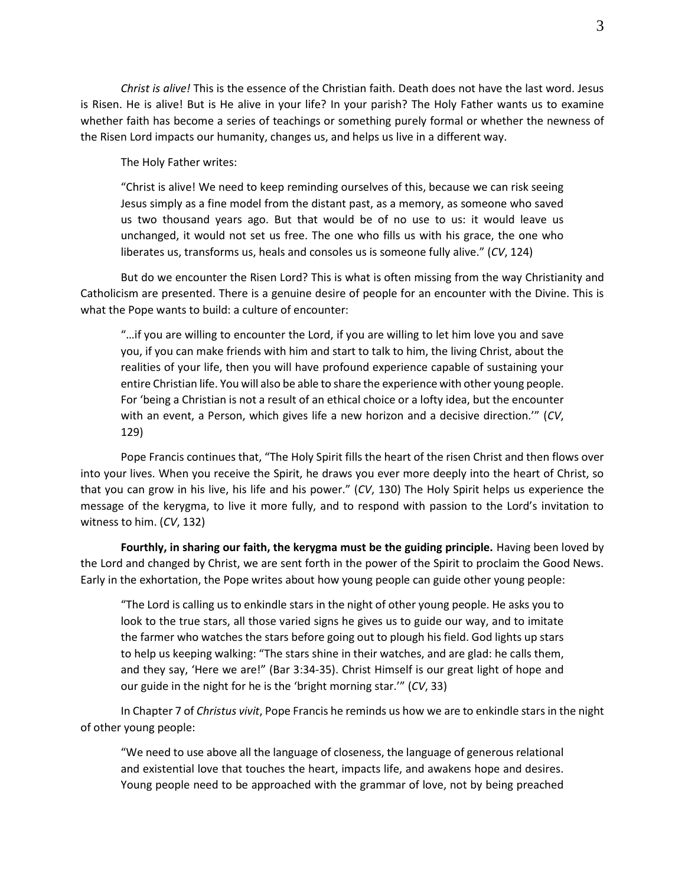*Christ is alive!* This is the essence of the Christian faith. Death does not have the last word. Jesus is Risen. He is alive! But is He alive in your life? In your parish? The Holy Father wants us to examine whether faith has become a series of teachings or something purely formal or whether the newness of the Risen Lord impacts our humanity, changes us, and helps us live in a different way.

The Holy Father writes:

"Christ is alive! We need to keep reminding ourselves of this, because we can risk seeing Jesus simply as a fine model from the distant past, as a memory, as someone who saved us two thousand years ago. But that would be of no use to us: it would leave us unchanged, it would not set us free. The one who fills us with his grace, the one who liberates us, transforms us, heals and consoles us is someone fully alive." (*CV*, 124)

But do we encounter the Risen Lord? This is what is often missing from the way Christianity and Catholicism are presented. There is a genuine desire of people for an encounter with the Divine. This is what the Pope wants to build: a culture of encounter:

"…if you are willing to encounter the Lord, if you are willing to let him love you and save you, if you can make friends with him and start to talk to him, the living Christ, about the realities of your life, then you will have profound experience capable of sustaining your entire Christian life. You will also be able to share the experience with other young people. For 'being a Christian is not a result of an ethical choice or a lofty idea, but the encounter with an event, a Person, which gives life a new horizon and a decisive direction.'" (*CV*, 129)

Pope Francis continues that, "The Holy Spirit fills the heart of the risen Christ and then flows over into your lives. When you receive the Spirit, he draws you ever more deeply into the heart of Christ, so that you can grow in his live, his life and his power." (*CV*, 130) The Holy Spirit helps us experience the message of the kerygma, to live it more fully, and to respond with passion to the Lord's invitation to witness to him. (*CV*, 132)

**Fourthly, in sharing our faith, the kerygma must be the guiding principle.** Having been loved by the Lord and changed by Christ, we are sent forth in the power of the Spirit to proclaim the Good News. Early in the exhortation, the Pope writes about how young people can guide other young people:

"The Lord is calling us to enkindle stars in the night of other young people. He asks you to look to the true stars, all those varied signs he gives us to guide our way, and to imitate the farmer who watches the stars before going out to plough his field. God lights up stars to help us keeping walking: "The stars shine in their watches, and are glad: he calls them, and they say, 'Here we are!" (Bar 3:34-35). Christ Himself is our great light of hope and our guide in the night for he is the 'bright morning star.'" (*CV*, 33)

In Chapter 7 of *Christus vivit*, Pope Francis he reminds us how we are to enkindle stars in the night of other young people:

"We need to use above all the language of closeness, the language of generous relational and existential love that touches the heart, impacts life, and awakens hope and desires. Young people need to be approached with the grammar of love, not by being preached